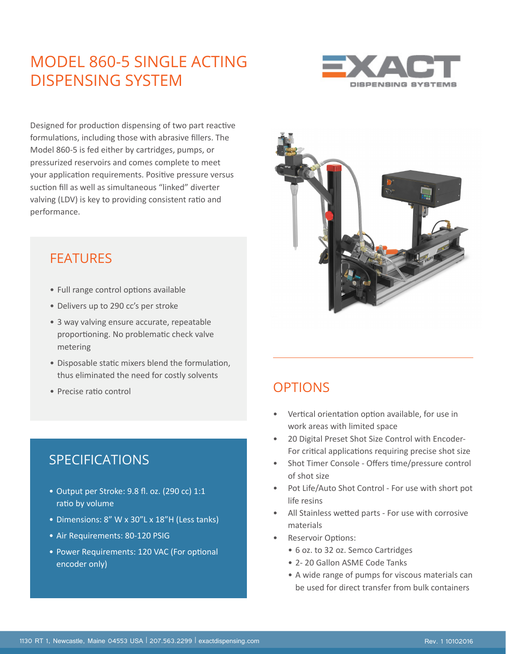## MODEL 860-5 SINGLE ACTING DISPENSING SYSTEM



Designed for production dispensing of two part reactive formulations, including those with abrasive fillers. The Model 860-5 is fed either by cartridges, pumps, or pressurized reservoirs and comes complete to meet your application requirements. Positive pressure versus suction fill as well as simultaneous "linked" diverter valving (LDV) is key to providing consistent ratio and performance.

### FEATURES

- Full range control options available
- Delivers up to 290 cc's per stroke
- 3 way valving ensure accurate, repeatable proportioning. No problematic check valve metering
- Disposable static mixers blend the formulation, thus eliminated the need for costly solvents
- Precise ratio control

#### SPECIFICATIONS

- Output per Stroke: 9.8 fl. oz. (290 cc) 1:1 ratio by volume
- Dimensions: 8" W x 30"L x 18"H (Less tanks)
- Air Requirements: 80-120 PSIG
- Power Requirements: 120 VAC (For optional encoder only)



## **OPTIONS**

- Vertical orientation option available, for use in work areas with limited space
- 20 Digital Preset Shot Size Control with Encoder-For critical applications requiring precise shot size
- Shot Timer Console Offers time/pressure control of shot size
- Pot Life/Auto Shot Control For use with short pot life resins
- All Stainless wetted parts For use with corrosive materials
- Reservoir Options:
	- 6 oz. to 32 oz. Semco Cartridges
	- 2- 20 Gallon ASME Code Tanks
	- A wide range of pumps for viscous materials can be used for direct transfer from bulk containers